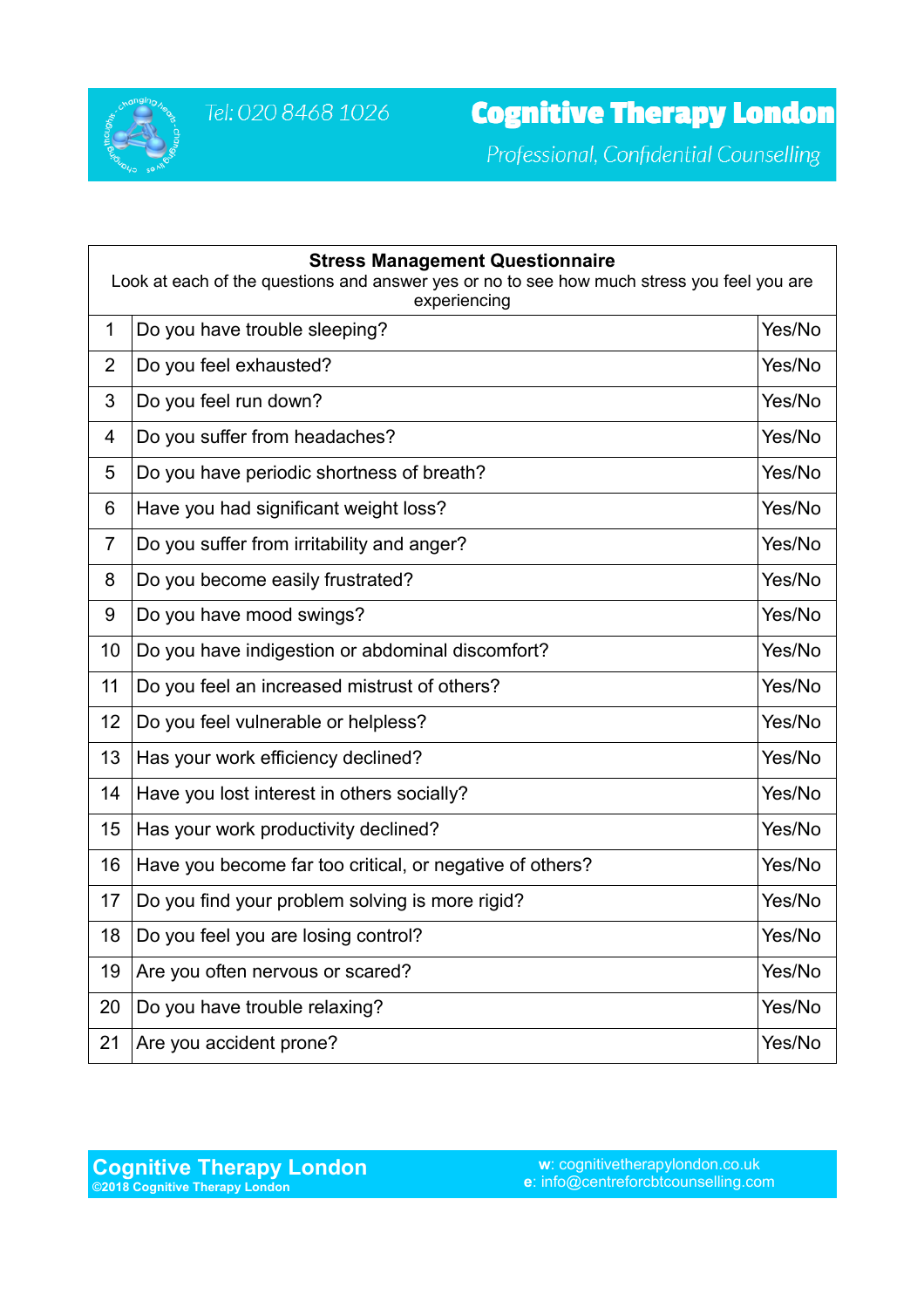

Professional, Confidential Counselling

| <b>Stress Management Questionnaire</b><br>Look at each of the questions and answer yes or no to see how much stress you feel you are<br>experiencing |                                                          |        |
|------------------------------------------------------------------------------------------------------------------------------------------------------|----------------------------------------------------------|--------|
| $\mathbf 1$                                                                                                                                          | Do you have trouble sleeping?                            | Yes/No |
| $\overline{2}$                                                                                                                                       | Do you feel exhausted?                                   | Yes/No |
| 3                                                                                                                                                    | Do you feel run down?                                    | Yes/No |
| 4                                                                                                                                                    | Do you suffer from headaches?                            | Yes/No |
| 5                                                                                                                                                    | Do you have periodic shortness of breath?                | Yes/No |
| 6                                                                                                                                                    | Have you had significant weight loss?                    | Yes/No |
| $\overline{7}$                                                                                                                                       | Do you suffer from irritability and anger?               | Yes/No |
| 8                                                                                                                                                    | Do you become easily frustrated?                         | Yes/No |
| 9                                                                                                                                                    | Do you have mood swings?                                 | Yes/No |
| 10                                                                                                                                                   | Do you have indigestion or abdominal discomfort?         | Yes/No |
| 11                                                                                                                                                   | Do you feel an increased mistrust of others?             | Yes/No |
| 12                                                                                                                                                   | Do you feel vulnerable or helpless?                      | Yes/No |
| 13                                                                                                                                                   | Has your work efficiency declined?                       | Yes/No |
| 14                                                                                                                                                   | Have you lost interest in others socially?               | Yes/No |
| 15                                                                                                                                                   | Has your work productivity declined?                     | Yes/No |
| 16                                                                                                                                                   | Have you become far too critical, or negative of others? | Yes/No |
| 17                                                                                                                                                   | Do you find your problem solving is more rigid?          | Yes/No |
| 18                                                                                                                                                   | Do you feel you are losing control?                      | Yes/No |
| 19                                                                                                                                                   | Are you often nervous or scared?                         | Yes/No |
| 20                                                                                                                                                   | Do you have trouble relaxing?                            | Yes/No |
| 21                                                                                                                                                   | Are you accident prone?                                  | Yes/No |